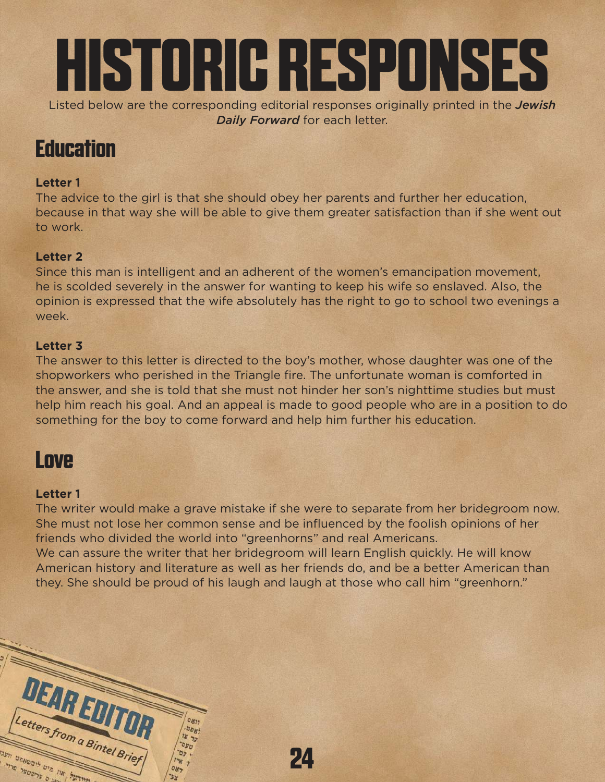

*Daily Forward* for each letter.

# **Education**

## **Letter 1**

The advice to the girl is that she should obey her parents and further her education, because in that way she will be able to give them greater satisfaction than if she went out to work.

### **Letter 2**

Since this man is intelligent and an adherent of the women's emancipation movement, he is scolded severely in the answer for wanting to keep his wife so enslaved. Also, the opinion is expressed that the wife absolutely has the right to go to school two evenings a week.

### **Letter 3**

The answer to this letter is directed to the boy's mother, whose daughter was one of the shopworkers who perished in the Triangle fire. The unfortunate woman is comforted in the answer, and she is told that she must not hinder her son's nighttime studies but must help him reach his goal. And an appeal is made to good people who are in a position to do something for the boy to come forward and help him further his education.

# **Love**

### **Letter 1**

DEARE

פיט ליבש

etters from a Bintel Brief

The writer would make a grave mistake if she were to separate from her bridegroom now. She must not lose her common sense and be influenced by the foolish opinions of her friends who divided the world into "greenhorns" and real Americans.

We can assure the writer that her bridegroom will learn English quickly. He will know American history and literature as well as her friends do, and be a better American than they. She should be proud of his laugh and laugh at those who call him "greenhorn."

**24**